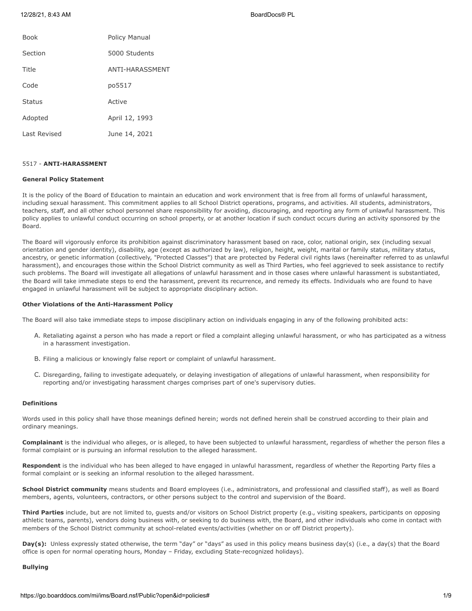| <b>Book</b>  | Policy Manual   |
|--------------|-----------------|
| Section      | 5000 Students   |
| Title        | ANTI-HARASSMENT |
| Code         | po5517          |
| Status       | Active          |
| Adopted      | April 12, 1993  |
| Last Revised | June 14, 2021   |

## 5517 - **ANTI-HARASSMENT**

# **General Policy Statement**

It is the policy of the Board of Education to maintain an education and work environment that is free from all forms of unlawful harassment, including sexual harassment. This commitment applies to all School District operations, programs, and activities. All students, administrators, teachers, staff, and all other school personnel share responsibility for avoiding, discouraging, and reporting any form of unlawful harassment. This policy applies to unlawful conduct occurring on school property, or at another location if such conduct occurs during an activity sponsored by the Board.

The Board will vigorously enforce its prohibition against discriminatory harassment based on race, color, national origin, sex (including sexual orientation and gender identity), disability, age (except as authorized by law), religion, height, weight, marital or family status, military status, ancestry, or genetic information (collectively, "Protected Classes") that are protected by Federal civil rights laws (hereinafter referred to as unlawful harassment), and encourages those within the School District community as well as Third Parties, who feel aggrieved to seek assistance to rectify such problems. The Board will investigate all allegations of unlawful harassment and in those cases where unlawful harassment is substantiated, the Board will take immediate steps to end the harassment, prevent its recurrence, and remedy its effects. Individuals who are found to have engaged in unlawful harassment will be subject to appropriate disciplinary action.

### **Other Violations of the Anti-Harassment Policy**

The Board will also take immediate steps to impose disciplinary action on individuals engaging in any of the following prohibited acts:

- A. Retaliating against a person who has made a report or filed a complaint alleging unlawful harassment, or who has participated as a witness in a harassment investigation.
- B. Filing a malicious or knowingly false report or complaint of unlawful harassment.
- C. Disregarding, failing to investigate adequately, or delaying investigation of allegations of unlawful harassment, when responsibility for reporting and/or investigating harassment charges comprises part of one's supervisory duties.

## **Definitions**

Words used in this policy shall have those meanings defined herein; words not defined herein shall be construed according to their plain and ordinary meanings.

**Complainant** is the individual who alleges, or is alleged, to have been subjected to unlawful harassment, regardless of whether the person files a formal complaint or is pursuing an informal resolution to the alleged harassment.

**Respondent** is the individual who has been alleged to have engaged in unlawful harassment, regardless of whether the Reporting Party files a formal complaint or is seeking an informal resolution to the alleged harassment.

School District community means students and Board employees (i.e., administrators, and professional and classified staff), as well as Board members, agents, volunteers, contractors, or other persons subject to the control and supervision of the Board.

**Third Parties** include, but are not limited to, guests and/or visitors on School District property (e.g., visiting speakers, participants on opposing athletic teams, parents), vendors doing business with, or seeking to do business with, the Board, and other individuals who come in contact with members of the School District community at school-related events/activities (whether on or off District property).

**Day(s):** Unless expressly stated otherwise, the term "day" or "days" as used in this policy means business day(s) (i.e., a day(s) that the Board office is open for normal operating hours, Monday – Friday, excluding State-recognized holidays).

#### **Bullying**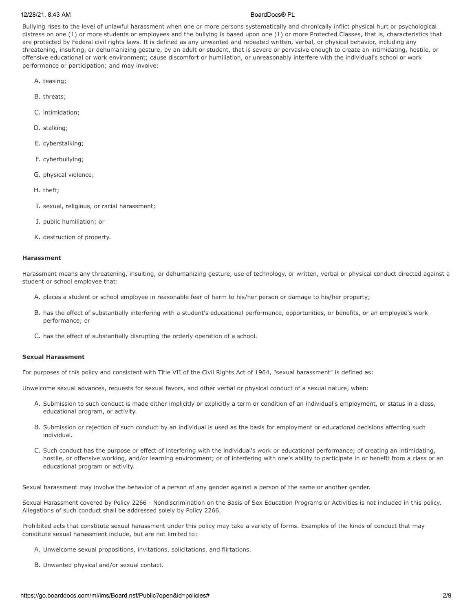Bullying rises to the level of unlawful harassment when one or more persons systematically and chronically inflict physical hurt or psychological distress on one (1) or more students or employees and the bullying is based upon one (1) or more Protected Classes, that is, characteristics that are protected by Federal civil rights laws. It is defined as any unwanted and repeated written, verbal, or physical behavior, including any threatening, insulting, or dehumanizing gesture, by an adult or student, that is severe or pervasive enough to create an intimidating, hostile, or offensive educational or work environment; cause discomfort or humiliation, or unreasonably interfere with the individual's school or work performance or participation; and may involve:

- A. teasing;
- B. threats;
- C. intimidation;
- D. stalking;
- E. cyberstalking;
- F. cyberbullying;
- G. physical violence;
- H. theft;
- I. sexual, religious, or racial harassment;
- J. public humiliation; or
- K. destruction of property.

### **Harassment**

Harassment means any threatening, insulting, or dehumanizing gesture, use of technology, or written, verbal or physical conduct directed against a student or school employee that:

- A. places a student or school employee in reasonable fear of harm to his/her person or damage to his/her property;
- B. has the effect of substantially interfering with a student's educational performance, opportunities, or benefits, or an employee's work performance; or
- C. has the effect of substantially disrupting the orderly operation of a school.

#### **Sexual Harassment**

For purposes of this policy and consistent with Title VII of the Civil Rights Act of 1964, "sexual harassment" is defined as:

Unwelcome sexual advances, requests for sexual favors, and other verbal or physical conduct of a sexual nature, when:

- A. Submission to such conduct is made either implicitly or explicitly a term or condition of an individual's employment, or status in a class, educational program, or activity.
- B. Submission or rejection of such conduct by an individual is used as the basis for employment or educational decisions affecting such individual.
- C. Such conduct has the purpose or effect of interfering with the individual's work or educational performance; of creating an intimidating, hostile, or offensive working, and/or learning environment; or of interfering with one's ability to participate in or benefit from a class or an educational program or activity.

Sexual harassment may involve the behavior of a person of any gender against a person of the same or another gender.

Sexual Harassment covered by Policy 2266 - Nondiscrimination on the Basis of Sex Education Programs or Activities is not included in this policy. Allegations of such conduct shall be addressed solely by Policy 2266.

Prohibited acts that constitute sexual harassment under this policy may take a variety of forms. Examples of the kinds of conduct that may constitute sexual harassment include, but are not limited to:

- A. Unwelcome sexual propositions, invitations, solicitations, and flirtations.
- B. Unwanted physical and/or sexual contact.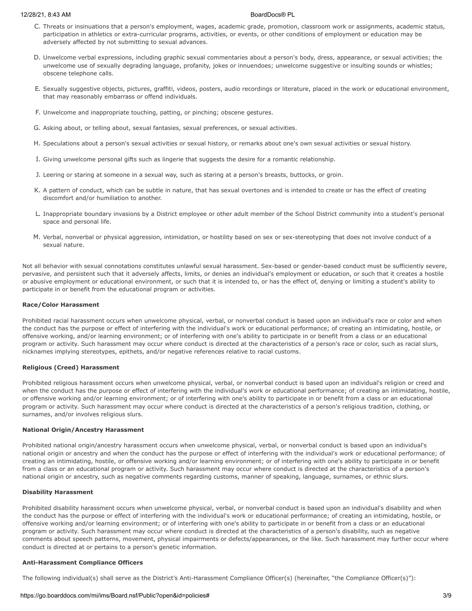- C. Threats or insinuations that a person's employment, wages, academic grade, promotion, classroom work or assignments, academic status, participation in athletics or extra-curricular programs, activities, or events, or other conditions of employment or education may be adversely affected by not submitting to sexual advances.
- D. Unwelcome verbal expressions, including graphic sexual commentaries about a person's body, dress, appearance, or sexual activities; the unwelcome use of sexually degrading language, profanity, jokes or innuendoes; unwelcome suggestive or insulting sounds or whistles; obscene telephone calls.
- E. Sexually suggestive objects, pictures, graffiti, videos, posters, audio recordings or literature, placed in the work or educational environment, that may reasonably embarrass or offend individuals.
- F. Unwelcome and inappropriate touching, patting, or pinching; obscene gestures.
- G. Asking about, or telling about, sexual fantasies, sexual preferences, or sexual activities.
- H. Speculations about a person's sexual activities or sexual history, or remarks about one's own sexual activities or sexual history.
- I. Giving unwelcome personal gifts such as lingerie that suggests the desire for a romantic relationship.
- J. Leering or staring at someone in a sexual way, such as staring at a person's breasts, buttocks, or groin.
- K. A pattern of conduct, which can be subtle in nature, that has sexual overtones and is intended to create or has the effect of creating discomfort and/or humiliation to another.
- L. Inappropriate boundary invasions by a District employee or other adult member of the School District community into a student's personal space and personal life.
- M. Verbal, nonverbal or physical aggression, intimidation, or hostility based on sex or sex-stereotyping that does not involve conduct of a sexual nature.

Not all behavior with sexual connotations constitutes unlawful sexual harassment. Sex-based or gender-based conduct must be sufficiently severe, pervasive, and persistent such that it adversely affects, limits, or denies an individual's employment or education, or such that it creates a hostile or abusive employment or educational environment, or such that it is intended to, or has the effect of, denying or limiting a student's ability to participate in or benefit from the educational program or activities.

### **Race/Color Harassment**

Prohibited racial harassment occurs when unwelcome physical, verbal, or nonverbal conduct is based upon an individual's race or color and when the conduct has the purpose or effect of interfering with the individual's work or educational performance; of creating an intimidating, hostile, or offensive working, and/or learning environment; or of interfering with one's ability to participate in or benefit from a class or an educational program or activity. Such harassment may occur where conduct is directed at the characteristics of a person's race or color, such as racial slurs, nicknames implying stereotypes, epithets, and/or negative references relative to racial customs.

#### **Religious (Creed) Harassment**

Prohibited religious harassment occurs when unwelcome physical, verbal, or nonverbal conduct is based upon an individual's religion or creed and when the conduct has the purpose or effect of interfering with the individual's work or educational performance; of creating an intimidating, hostile, or offensive working and/or learning environment; or of interfering with one's ability to participate in or benefit from a class or an educational program or activity. Such harassment may occur where conduct is directed at the characteristics of a person's religious tradition, clothing, or surnames, and/or involves religious slurs.

# **National Origin/Ancestry Harassment**

Prohibited national origin/ancestry harassment occurs when unwelcome physical, verbal, or nonverbal conduct is based upon an individual's national origin or ancestry and when the conduct has the purpose or effect of interfering with the individual's work or educational performance; of creating an intimidating, hostile, or offensive working and/or learning environment; or of interfering with one's ability to participate in or benefit from a class or an educational program or activity. Such harassment may occur where conduct is directed at the characteristics of a person's national origin or ancestry, such as negative comments regarding customs, manner of speaking, language, surnames, or ethnic slurs.

#### **Disability Harassment**

Prohibited disability harassment occurs when unwelcome physical, verbal, or nonverbal conduct is based upon an individual's disability and when the conduct has the purpose or effect of interfering with the individual's work or educational performance; of creating an intimidating, hostile, or offensive working and/or learning environment; or of interfering with one's ability to participate in or benefit from a class or an educational program or activity. Such harassment may occur where conduct is directed at the characteristics of a person's disability, such as negative comments about speech patterns, movement, physical impairments or defects/appearances, or the like. Such harassment may further occur where conduct is directed at or pertains to a person's genetic information.

# **Anti-Harassment Compliance Officers**

The following individual(s) shall serve as the District's Anti-Harassment Compliance Officer(s) (hereinafter, "the Compliance Officer(s)"):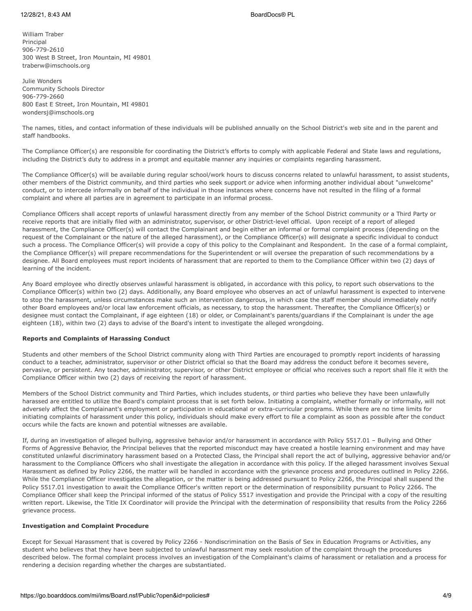William Traber Principal 906-779-2610 300 West B Street, Iron Mountain, MI 49801 traberw@imschools.org

Julie Wonders Community Schools Director 906-779-2660 800 East E Street, Iron Mountain, MI 49801 wondersj@imschools.org

The names, titles, and contact information of these individuals will be published annually on the School District's web site and in the parent and staff handbooks.

The Compliance Officer(s) are responsible for coordinating the District's efforts to comply with applicable Federal and State laws and regulations, including the District's duty to address in a prompt and equitable manner any inquiries or complaints regarding harassment.

The Compliance Officer(s) will be available during regular school/work hours to discuss concerns related to unlawful harassment, to assist students, other members of the District community, and third parties who seek support or advice when informing another individual about "unwelcome" conduct, or to intercede informally on behalf of the individual in those instances where concerns have not resulted in the filing of a formal complaint and where all parties are in agreement to participate in an informal process.

Compliance Officers shall accept reports of unlawful harassment directly from any member of the School District community or a Third Party or receive reports that are initially filed with an administrator, supervisor, or other District-level official. Upon receipt of a report of alleged harassment, the Compliance Officer(s) will contact the Complainant and begin either an informal or formal complaint process (depending on the request of the Complainant or the nature of the alleged harassment), or the Compliance Officer(s) will designate a specific individual to conduct such a process. The Compliance Officer(s) will provide a copy of this policy to the Complainant and Respondent. In the case of a formal complaint, the Compliance Officer(s) will prepare recommendations for the Superintendent or will oversee the preparation of such recommendations by a designee. All Board employees must report incidents of harassment that are reported to them to the Compliance Officer within two (2) days of learning of the incident.

Any Board employee who directly observes unlawful harassment is obligated, in accordance with this policy, to report such observations to the Compliance Officer(s) within two (2) days. Additionally, any Board employee who observes an act of unlawful harassment is expected to intervene to stop the harassment, unless circumstances make such an intervention dangerous, in which case the staff member should immediately notify other Board employees and/or local law enforcement officials, as necessary, to stop the harassment. Thereafter, the Compliance Officer(s) or designee must contact the Complainant, if age eighteen (18) or older, or Complainant's parents/guardians if the Complainant is under the age eighteen (18), within two (2) days to advise of the Board's intent to investigate the alleged wrongdoing.

# **Reports and Complaints of Harassing Conduct**

Students and other members of the School District community along with Third Parties are encouraged to promptly report incidents of harassing conduct to a teacher, administrator, supervisor or other District official so that the Board may address the conduct before it becomes severe, pervasive, or persistent. Any teacher, administrator, supervisor, or other District employee or official who receives such a report shall file it with the Compliance Officer within two (2) days of receiving the report of harassment.

Members of the School District community and Third Parties, which includes students, or third parties who believe they have been unlawfully harassed are entitled to utilize the Board's complaint process that is set forth below. Initiating a complaint, whether formally or informally, will not adversely affect the Complainant's employment or participation in educational or extra-curricular programs. While there are no time limits for initiating complaints of harassment under this policy, individuals should make every effort to file a complaint as soon as possible after the conduct occurs while the facts are known and potential witnesses are available.

If, during an investigation of alleged bullying, aggressive behavior and/or harassment in accordance with Policy 5517.01 – Bullying and Other Forms of Aggressive Behavior, the Principal believes that the reported misconduct may have created a hostile learning environment and may have constituted unlawful discriminatory harassment based on a Protected Class, the Principal shall report the act of bullying, aggressive behavior and/or harassment to the Compliance Officers who shall investigate the allegation in accordance with this policy. If the alleged harassment involves Sexual Harassment as defined by Policy 2266, the matter will be handled in accordance with the grievance process and procedures outlined in Policy 2266. While the Compliance Officer investigates the allegation, or the matter is being addressed pursuant to Policy 2266, the Principal shall suspend the Policy 5517.01 investigation to await the Compliance Officer's written report or the determination of responsibility pursuant to Policy 2266. The Compliance Officer shall keep the Principal informed of the status of Policy 5517 investigation and provide the Principal with a copy of the resulting written report. Likewise, the Title IX Coordinator will provide the Principal with the determination of responsibility that results from the Policy 2266 grievance process.

# **Investigation and Complaint Procedure**

Except for Sexual Harassment that is covered by Policy 2266 - Nondiscrimination on the Basis of Sex in Education Programs or Activities, any student who believes that they have been subjected to unlawful harassment may seek resolution of the complaint through the procedures described below. The formal complaint process involves an investigation of the Complainant's claims of harassment or retaliation and a process for rendering a decision regarding whether the charges are substantiated.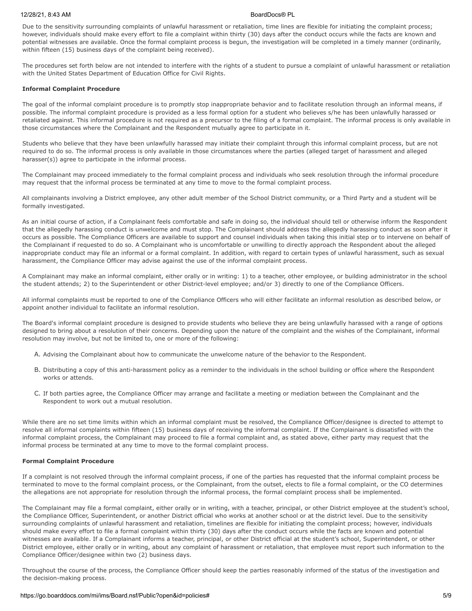Due to the sensitivity surrounding complaints of unlawful harassment or retaliation, time lines are flexible for initiating the complaint process; however, individuals should make every effort to file a complaint within thirty (30) days after the conduct occurs while the facts are known and potential witnesses are available. Once the formal complaint process is begun, the investigation will be completed in a timely manner (ordinarily, within fifteen (15) business days of the complaint being received).

The procedures set forth below are not intended to interfere with the rights of a student to pursue a complaint of unlawful harassment or retaliation with the United States Department of Education Office for Civil Rights.

### **Informal Complaint Procedure**

The goal of the informal complaint procedure is to promptly stop inappropriate behavior and to facilitate resolution through an informal means, if possible. The informal complaint procedure is provided as a less formal option for a student who believes s/he has been unlawfully harassed or retaliated against. This informal procedure is not required as a precursor to the filing of a formal complaint. The informal process is only available in those circumstances where the Complainant and the Respondent mutually agree to participate in it.

Students who believe that they have been unlawfully harassed may initiate their complaint through this informal complaint process, but are not required to do so. The informal process is only available in those circumstances where the parties (alleged target of harassment and alleged harasser(s)) agree to participate in the informal process.

The Complainant may proceed immediately to the formal complaint process and individuals who seek resolution through the informal procedure may request that the informal process be terminated at any time to move to the formal complaint process.

All complainants involving a District employee, any other adult member of the School District community, or a Third Party and a student will be formally investigated.

As an initial course of action, if a Complainant feels comfortable and safe in doing so, the individual should tell or otherwise inform the Respondent that the allegedly harassing conduct is unwelcome and must stop. The Complainant should address the allegedly harassing conduct as soon after it occurs as possible. The Compliance Officers are available to support and counsel individuals when taking this initial step or to intervene on behalf of the Complainant if requested to do so. A Complainant who is uncomfortable or unwilling to directly approach the Respondent about the alleged inappropriate conduct may file an informal or a formal complaint. In addition, with regard to certain types of unlawful harassment, such as sexual harassment, the Compliance Officer may advise against the use of the informal complaint process.

A Complainant may make an informal complaint, either orally or in writing: 1) to a teacher, other employee, or building administrator in the school the student attends; 2) to the Superintendent or other District-level employee; and/or 3) directly to one of the Compliance Officers.

All informal complaints must be reported to one of the Compliance Officers who will either facilitate an informal resolution as described below, or appoint another individual to facilitate an informal resolution.

The Board's informal complaint procedure is designed to provide students who believe they are being unlawfully harassed with a range of options designed to bring about a resolution of their concerns. Depending upon the nature of the complaint and the wishes of the Complainant, informal resolution may involve, but not be limited to, one or more of the following:

- A. Advising the Complainant about how to communicate the unwelcome nature of the behavior to the Respondent.
- B. Distributing a copy of this anti-harassment policy as a reminder to the individuals in the school building or office where the Respondent works or attends.
- C. If both parties agree, the Compliance Officer may arrange and facilitate a meeting or mediation between the Complainant and the Respondent to work out a mutual resolution.

While there are no set time limits within which an informal complaint must be resolved, the Compliance Officer/designee is directed to attempt to resolve all informal complaints within fifteen (15) business days of receiving the informal complaint. If the Complainant is dissatisfied with the informal complaint process, the Complainant may proceed to file a formal complaint and, as stated above, either party may request that the informal process be terminated at any time to move to the formal complaint process.

# **Formal Complaint Procedure**

If a complaint is not resolved through the informal complaint process, if one of the parties has requested that the informal complaint process be terminated to move to the formal complaint process, or the Complainant, from the outset, elects to file a formal complaint, or the CO determines the allegations are not appropriate for resolution through the informal process, the formal complaint process shall be implemented.

The Complainant may file a formal complaint, either orally or in writing, with a teacher, principal, or other District employee at the student's school, the Compliance Officer, Superintendent, or another District official who works at another school or at the district level. Due to the sensitivity surrounding complaints of unlawful harassment and retaliation, timelines are flexible for initiating the complaint process; however, individuals should make every effort to file a formal complaint within thirty (30) days after the conduct occurs while the facts are known and potential witnesses are available. If a Complainant informs a teacher, principal, or other District official at the student's school, Superintendent, or other District employee, either orally or in writing, about any complaint of harassment or retaliation, that employee must report such information to the Compliance Officer/designee within two (2) business days.

Throughout the course of the process, the Compliance Officer should keep the parties reasonably informed of the status of the investigation and the decision-making process.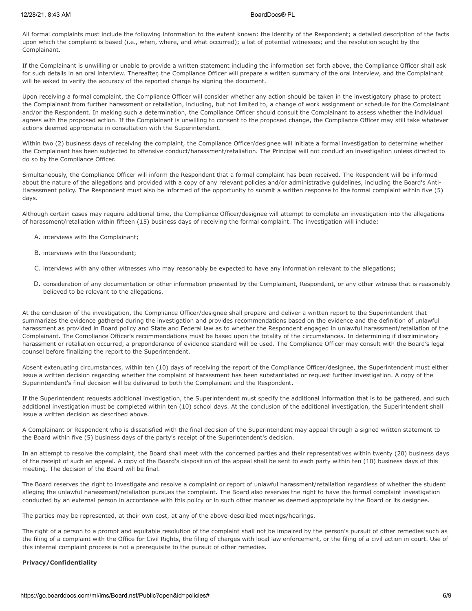All formal complaints must include the following information to the extent known: the identity of the Respondent; a detailed description of the facts upon which the complaint is based (i.e., when, where, and what occurred); a list of potential witnesses; and the resolution sought by the Complainant.

If the Complainant is unwilling or unable to provide a written statement including the information set forth above, the Compliance Officer shall ask for such details in an oral interview. Thereafter, the Compliance Officer will prepare a written summary of the oral interview, and the Complainant will be asked to verify the accuracy of the reported charge by signing the document.

Upon receiving a formal complaint, the Compliance Officer will consider whether any action should be taken in the investigatory phase to protect the Complainant from further harassment or retaliation, including, but not limited to, a change of work assignment or schedule for the Complainant and/or the Respondent. In making such a determination, the Compliance Officer should consult the Complainant to assess whether the individual agrees with the proposed action. If the Complainant is unwilling to consent to the proposed change, the Compliance Officer may still take whatever actions deemed appropriate in consultation with the Superintendent.

Within two (2) business days of receiving the complaint, the Compliance Officer/designee will initiate a formal investigation to determine whether the Complainant has been subjected to offensive conduct/harassment/retaliation. The Principal will not conduct an investigation unless directed to do so by the Compliance Officer.

Simultaneously, the Compliance Officer will inform the Respondent that a formal complaint has been received. The Respondent will be informed about the nature of the allegations and provided with a copy of any relevant policies and/or administrative guidelines, including the Board's Anti-Harassment policy. The Respondent must also be informed of the opportunity to submit a written response to the formal complaint within five (5) days.

Although certain cases may require additional time, the Compliance Officer/designee will attempt to complete an investigation into the allegations of harassment/retaliation within fifteen (15) business days of receiving the formal complaint. The investigation will include:

- A. interviews with the Complainant;
- B. interviews with the Respondent;
- C. interviews with any other witnesses who may reasonably be expected to have any information relevant to the allegations;
- D. consideration of any documentation or other information presented by the Complainant, Respondent, or any other witness that is reasonably believed to be relevant to the allegations.

At the conclusion of the investigation, the Compliance Officer/designee shall prepare and deliver a written report to the Superintendent that summarizes the evidence gathered during the investigation and provides recommendations based on the evidence and the definition of unlawful harassment as provided in Board policy and State and Federal law as to whether the Respondent engaged in unlawful harassment/retaliation of the Complainant. The Compliance Officer's recommendations must be based upon the totality of the circumstances. In determining if discriminatory harassment or retaliation occurred, a preponderance of evidence standard will be used. The Compliance Officer may consult with the Board's legal counsel before finalizing the report to the Superintendent.

Absent extenuating circumstances, within ten (10) days of receiving the report of the Compliance Officer/designee, the Superintendent must either issue a written decision regarding whether the complaint of harassment has been substantiated or request further investigation. A copy of the Superintendent's final decision will be delivered to both the Complainant and the Respondent.

If the Superintendent requests additional investigation, the Superintendent must specify the additional information that is to be gathered, and such additional investigation must be completed within ten (10) school days. At the conclusion of the additional investigation, the Superintendent shall issue a written decision as described above.

A Complainant or Respondent who is dissatisfied with the final decision of the Superintendent may appeal through a signed written statement to the Board within five (5) business days of the party's receipt of the Superintendent's decision.

In an attempt to resolve the complaint, the Board shall meet with the concerned parties and their representatives within twenty (20) business days of the receipt of such an appeal. A copy of the Board's disposition of the appeal shall be sent to each party within ten (10) business days of this meeting. The decision of the Board will be final.

The Board reserves the right to investigate and resolve a complaint or report of unlawful harassment/retaliation regardless of whether the student alleging the unlawful harassment/retaliation pursues the complaint. The Board also reserves the right to have the formal complaint investigation conducted by an external person in accordance with this policy or in such other manner as deemed appropriate by the Board or its designee.

The parties may be represented, at their own cost, at any of the above-described meetings/hearings.

The right of a person to a prompt and equitable resolution of the complaint shall not be impaired by the person's pursuit of other remedies such as the filing of a complaint with the Office for Civil Rights, the filing of charges with local law enforcement, or the filing of a civil action in court. Use of this internal complaint process is not a prerequisite to the pursuit of other remedies.

# **Privacy/Confidentiality**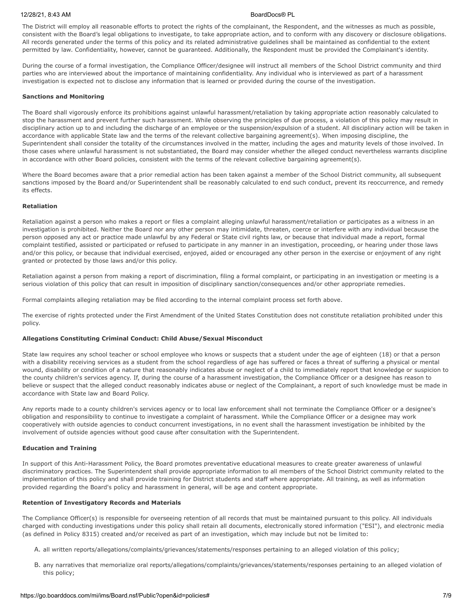The District will employ all reasonable efforts to protect the rights of the complainant, the Respondent, and the witnesses as much as possible, consistent with the Board's legal obligations to investigate, to take appropriate action, and to conform with any discovery or disclosure obligations. All records generated under the terms of this policy and its related administrative guidelines shall be maintained as confidential to the extent permitted by law. Confidentiality, however, cannot be guaranteed. Additionally, the Respondent must be provided the Complainant's identity.

During the course of a formal investigation, the Compliance Officer/designee will instruct all members of the School District community and third parties who are interviewed about the importance of maintaining confidentiality. Any individual who is interviewed as part of a harassment investigation is expected not to disclose any information that is learned or provided during the course of the investigation.

### **Sanctions and Monitoring**

The Board shall vigorously enforce its prohibitions against unlawful harassment/retaliation by taking appropriate action reasonably calculated to stop the harassment and prevent further such harassment. While observing the principles of due process, a violation of this policy may result in disciplinary action up to and including the discharge of an employee or the suspension/expulsion of a student. All disciplinary action will be taken in accordance with applicable State law and the terms of the relevant collective bargaining agreement(s). When imposing discipline, the Superintendent shall consider the totality of the circumstances involved in the matter, including the ages and maturity levels of those involved. In those cases where unlawful harassment is not substantiated, the Board may consider whether the alleged conduct nevertheless warrants discipline in accordance with other Board policies, consistent with the terms of the relevant collective bargaining agreement(s).

Where the Board becomes aware that a prior remedial action has been taken against a member of the School District community, all subsequent sanctions imposed by the Board and/or Superintendent shall be reasonably calculated to end such conduct, prevent its reoccurrence, and remedy its effects.

# **Retaliation**

Retaliation against a person who makes a report or files a complaint alleging unlawful harassment/retaliation or participates as a witness in an investigation is prohibited. Neither the Board nor any other person may intimidate, threaten, coerce or interfere with any individual because the person opposed any act or practice made unlawful by any Federal or State civil rights law, or because that individual made a report, formal complaint testified, assisted or participated or refused to participate in any manner in an investigation, proceeding, or hearing under those laws and/or this policy, or because that individual exercised, enjoyed, aided or encouraged any other person in the exercise or enjoyment of any right granted or protected by those laws and/or this policy.

Retaliation against a person from making a report of discrimination, filing a formal complaint, or participating in an investigation or meeting is a serious violation of this policy that can result in imposition of disciplinary sanction/consequences and/or other appropriate remedies.

Formal complaints alleging retaliation may be filed according to the internal complaint process set forth above.

The exercise of rights protected under the First Amendment of the United States Constitution does not constitute retaliation prohibited under this policy.

# **Allegations Constituting Criminal Conduct: Child Abuse/Sexual Misconduct**

State law requires any school teacher or school employee who knows or suspects that a student under the age of eighteen (18) or that a person with a disability receiving services as a student from the school regardless of age has suffered or faces a threat of suffering a physical or mental wound, disability or condition of a nature that reasonably indicates abuse or neglect of a child to immediately report that knowledge or suspicion to the county children's services agency. If, during the course of a harassment investigation, the Compliance Officer or a designee has reason to believe or suspect that the alleged conduct reasonably indicates abuse or neglect of the Complainant, a report of such knowledge must be made in accordance with State law and Board Policy.

Any reports made to a county children's services agency or to local law enforcement shall not terminate the Compliance Officer or a designee's obligation and responsibility to continue to investigate a complaint of harassment. While the Compliance Officer or a designee may work cooperatively with outside agencies to conduct concurrent investigations, in no event shall the harassment investigation be inhibited by the involvement of outside agencies without good cause after consultation with the Superintendent.

### **Education and Training**

In support of this Anti-Harassment Policy, the Board promotes preventative educational measures to create greater awareness of unlawful discriminatory practices. The Superintendent shall provide appropriate information to all members of the School District community related to the implementation of this policy and shall provide training for District students and staff where appropriate. All training, as well as information provided regarding the Board's policy and harassment in general, will be age and content appropriate.

### **Retention of Investigatory Records and Materials**

The Compliance Officer(s) is responsible for overseeing retention of all records that must be maintained pursuant to this policy. All individuals charged with conducting investigations under this policy shall retain all documents, electronically stored information ("ESI"), and electronic media (as defined in Policy 8315) created and/or received as part of an investigation, which may include but not be limited to:

- A. all written reports/allegations/complaints/grievances/statements/responses pertaining to an alleged violation of this policy;
- B. any narratives that memorialize oral reports/allegations/complaints/grievances/statements/responses pertaining to an alleged violation of this policy;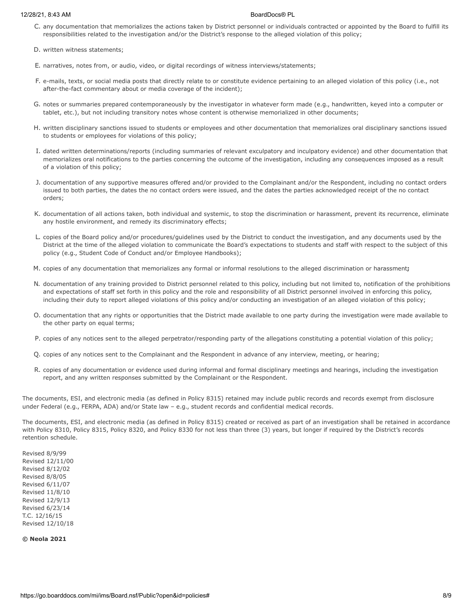- C. any documentation that memorializes the actions taken by District personnel or individuals contracted or appointed by the Board to fulfill its responsibilities related to the investigation and/or the District's response to the alleged violation of this policy;
- D. written witness statements;
- E. narratives, notes from, or audio, video, or digital recordings of witness interviews/statements;
- F. e-mails, texts, or social media posts that directly relate to or constitute evidence pertaining to an alleged violation of this policy (i.e., not after-the-fact commentary about or media coverage of the incident);
- G. notes or summaries prepared contemporaneously by the investigator in whatever form made (e.g., handwritten, keyed into a computer or tablet, etc.), but not including transitory notes whose content is otherwise memorialized in other documents;
- H. written disciplinary sanctions issued to students or employees and other documentation that memorializes oral disciplinary sanctions issued to students or employees for violations of this policy;
- I. dated written determinations/reports (including summaries of relevant exculpatory and inculpatory evidence) and other documentation that memorializes oral notifications to the parties concerning the outcome of the investigation, including any consequences imposed as a result of a violation of this policy;
- J. documentation of any supportive measures offered and/or provided to the Complainant and/or the Respondent, including no contact orders issued to both parties, the dates the no contact orders were issued, and the dates the parties acknowledged receipt of the no contact orders;
- K. documentation of all actions taken, both individual and systemic, to stop the discrimination or harassment, prevent its recurrence, eliminate any hostile environment, and remedy its discriminatory effects;
- L. copies of the Board policy and/or procedures/guidelines used by the District to conduct the investigation, and any documents used by the District at the time of the alleged violation to communicate the Board's expectations to students and staff with respect to the subject of this policy (e.g., Student Code of Conduct and/or Employee Handbooks);
- M. copies of any documentation that memorializes any formal or informal resolutions to the alleged discrimination or harassment**;**
- N. documentation of any training provided to District personnel related to this policy, including but not limited to, notification of the prohibitions and expectations of staff set forth in this policy and the role and responsibility of all District personnel involved in enforcing this policy, including their duty to report alleged violations of this policy and/or conducting an investigation of an alleged violation of this policy;
- O. documentation that any rights or opportunities that the District made available to one party during the investigation were made available to the other party on equal terms;
- P. copies of any notices sent to the alleged perpetrator/responding party of the allegations constituting a potential violation of this policy;
- Q. copies of any notices sent to the Complainant and the Respondent in advance of any interview, meeting, or hearing;
- R. copies of any documentation or evidence used during informal and formal disciplinary meetings and hearings, including the investigation report, and any written responses submitted by the Complainant or the Respondent.

The documents, ESI, and electronic media (as defined in Policy 8315) retained may include public records and records exempt from disclosure under Federal (e.g., FERPA, ADA) and/or State law – e.g., student records and confidential medical records.

The documents, ESI, and electronic media (as defined in Policy 8315) created or received as part of an investigation shall be retained in accordance with Policy 8310, Policy 8315, Policy 8320, and Policy 8330 for not less than three (3) years, but longer if required by the District's records retention schedule.

Revised 8/9/99 Revised 12/11/00 Revised 8/12/02 Revised 8/8/05 Revised 6/11/07 Revised 11/8/10 Revised 12/9/13 Revised 6/23/14 T.C. 12/16/15 Revised 12/10/18

**© Neola 2021**